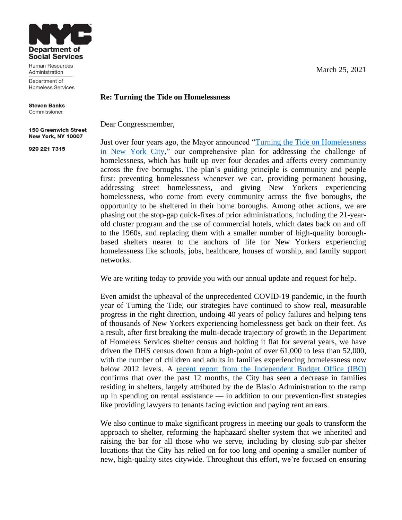

Human Resources Administration

Department of Homeless Services

**Steven Banks** Commissioner

**150 Greenwich Street** New York, NY 10007

929 221 7315

March 25, 2021

## **Re: Turning the Tide on Homelessness**

Dear Congressmember,

Just over four years ago, the Mayor announced ["Turning the Tide on Homelessness](http://www1.nyc.gov/site/dhs/about/tide.page)  [in New York City,](http://www1.nyc.gov/site/dhs/about/tide.page)" our comprehensive plan for addressing the challenge of homelessness, which has built up over four decades and affects every community across the five boroughs. The plan's guiding principle is community and people first: preventing homelessness whenever we can, providing permanent housing, addressing street homelessness, and giving New Yorkers experiencing homelessness, who come from every community across the five boroughs, the opportunity to be sheltered in their home boroughs. Among other actions, we are phasing out the stop-gap quick-fixes of prior administrations, including the 21-yearold cluster program and the use of commercial hotels, which dates back on and off to the 1960s, and replacing them with a smaller number of high-quality boroughbased shelters nearer to the anchors of life for New Yorkers experiencing homelessness like schools, jobs, healthcare, houses of worship, and family support networks.

We are writing today to provide you with our annual update and request for help.

Even amidst the upheaval of the unprecedented COVID-19 pandemic, in the fourth year of Turning the Tide, our strategies have continued to show real, measurable progress in the right direction, undoing 40 years of policy failures and helping tens of thousands of New Yorkers experiencing homelessness get back on their feet. As a result, after first breaking the multi-decade trajectory of growth in the Department of Homeless Services shelter census and holding it flat for several years, we have driven the DHS census down from a high-point of over 61,000 to less than 52,000, with the number of children and adults in families experiencing homelessness now below 2012 levels. A [recent report from the Independent Budget Office \(IBO\)](https://ibo.nyc.ny.us/iboreports/homeless-services-sees-shift-in-shelter-populations-and-influx-of-fema-funding-fopb-february-2021.pdf) confirms that over the past 12 months, the City has seen a decrease in families residing in shelters, largely attributed by the de Blasio Administration to the ramp up in spending on rental assistance — in addition to our prevention-first strategies like providing lawyers to tenants facing eviction and paying rent arrears.

We also continue to make significant progress in meeting our goals to transform the approach to shelter, reforming the haphazard shelter system that we inherited and raising the bar for all those who we serve, including by closing sub-par shelter locations that the City has relied on for too long and opening a smaller number of new, high-quality sites citywide. Throughout this effort, we're focused on ensuring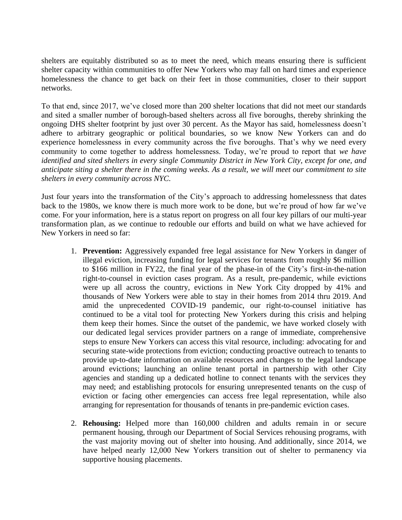shelters are equitably distributed so as to meet the need, which means ensuring there is sufficient shelter capacity within communities to offer New Yorkers who may fall on hard times and experience homelessness the chance to get back on their feet in those communities, closer to their support networks.

To that end, since 2017, we've closed more than 200 shelter locations that did not meet our standards and sited a smaller number of borough-based shelters across all five boroughs, thereby shrinking the ongoing DHS shelter footprint by just over 30 percent. As the Mayor has said, homelessness doesn't adhere to arbitrary geographic or political boundaries, so we know New Yorkers can and do experience homelessness in every community across the five boroughs. That's why we need every community to come together to address homelessness. Today, we're proud to report that *we have identified and sited shelters in every single Community District in New York City, except for one, and anticipate siting a shelter there in the coming weeks. As a result, we will meet our commitment to site shelters in every community across NYC.*

Just four years into the transformation of the City's approach to addressing homelessness that dates back to the 1980s, we know there is much more work to be done, but we're proud of how far we've come. For your information, here is a status report on progress on all four key pillars of our multi-year transformation plan, as we continue to redouble our efforts and build on what we have achieved for New Yorkers in need so far:

- 1. **Prevention:** Aggressively expanded free legal assistance for New Yorkers in danger of illegal eviction, increasing funding for legal services for tenants from roughly \$6 million to \$166 million in FY22, the final year of the phase-in of the City's first-in-the-nation right-to-counsel in eviction cases program. As a result, pre-pandemic, while evictions were up all across the country, evictions in New York City dropped by 41% and thousands of New Yorkers were able to stay in their homes from 2014 thru 2019. And amid the unprecedented COVID-19 pandemic, our right-to-counsel initiative has continued to be a vital tool for protecting New Yorkers during this crisis and helping them keep their homes. Since the outset of the pandemic, we have worked closely with our dedicated legal services provider partners on a range of immediate, comprehensive steps to ensure New Yorkers can access this vital resource, including: advocating for and securing state-wide protections from eviction; conducting proactive outreach to tenants to provide up-to-date information on available resources and changes to the legal landscape around evictions; launching an online tenant portal in partnership with other City agencies and standing up a dedicated hotline to connect tenants with the services they may need; and establishing protocols for ensuring unrepresented tenants on the cusp of eviction or facing other emergencies can access free legal representation, while also arranging for representation for thousands of tenants in pre-pandemic eviction cases.
- 2. **Rehousing:** Helped more than 160,000 children and adults remain in or secure permanent housing, through our Department of Social Services rehousing programs, with the vast majority moving out of shelter into housing. And additionally, since 2014, we have helped nearly 12,000 New Yorkers transition out of shelter to permanency via supportive housing placements.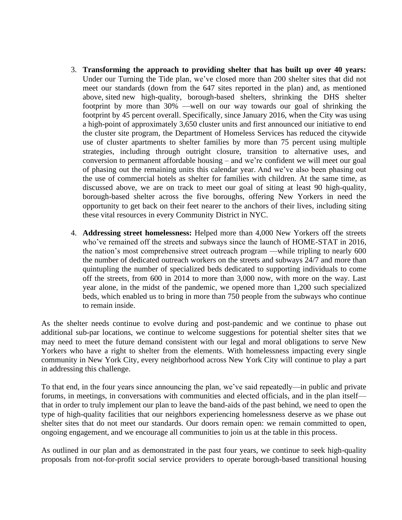- 3. **Transforming the approach to providing shelter that has built up over 40 years:** Under our Turning the Tide plan, we've closed more than 200 shelter sites that did not meet our standards (down from the 647 sites reported in the plan) and, as mentioned above, sited new high-quality, borough-based shelters, shrinking the DHS shelter footprint by more than 30% —well on our way towards our goal of shrinking the footprint by 45 percent overall. Specifically, since January 2016, when the City was using a high-point of approximately 3,650 cluster units and first announced our initiative to end the cluster site program, the Department of Homeless Services has reduced the citywide use of cluster apartments to shelter families by more than 75 percent using multiple strategies, including through outright closure, transition to alternative uses, and conversion to permanent affordable housing – and we're confident we will meet our goal of phasing out the remaining units this calendar year. And we've also been phasing out the use of commercial hotels as shelter for families with children. At the same time, as discussed above, we are on track to meet our goal of siting at least 90 high-quality, borough-based shelter across the five boroughs, offering New Yorkers in need the opportunity to get back on their feet nearer to the anchors of their lives, including siting these vital resources in every Community District in NYC.
- 4. **Addressing street homelessness:** Helped more than 4,000 New Yorkers off the streets who've remained off the streets and subways since the launch of HOME-STAT in 2016, the nation's most comprehensive street outreach program —while tripling to nearly 600 the number of dedicated outreach workers on the streets and subways 24/7 and more than quintupling the number of specialized beds dedicated to supporting individuals to come off the streets, from 600 in 2014 to more than 3,000 now, with more on the way. Last year alone, in the midst of the pandemic, we opened more than 1,200 such specialized beds, which enabled us to bring in more than 750 people from the subways who continue to remain inside.

As the shelter needs continue to evolve during and post-pandemic and we continue to phase out additional sub-par locations, we continue to welcome suggestions for potential shelter sites that we may need to meet the future demand consistent with our legal and moral obligations to serve New Yorkers who have a right to shelter from the elements. With homelessness impacting every single community in New York City, every neighborhood across New York City will continue to play a part in addressing this challenge.

To that end, in the four years since announcing the plan, we've said repeatedly—in public and private forums, in meetings, in conversations with communities and elected officials, and in the plan itself that in order to truly implement our plan to leave the band-aids of the past behind, we need to open the type of high-quality facilities that our neighbors experiencing homelessness deserve as we phase out shelter sites that do not meet our standards. Our doors remain open: we remain committed to open, ongoing engagement, and we encourage all communities to join us at the table in this process.

As outlined in our plan and as demonstrated in the past four years, we continue to seek high-quality proposals from not-for-profit social service providers to operate borough-based transitional housing